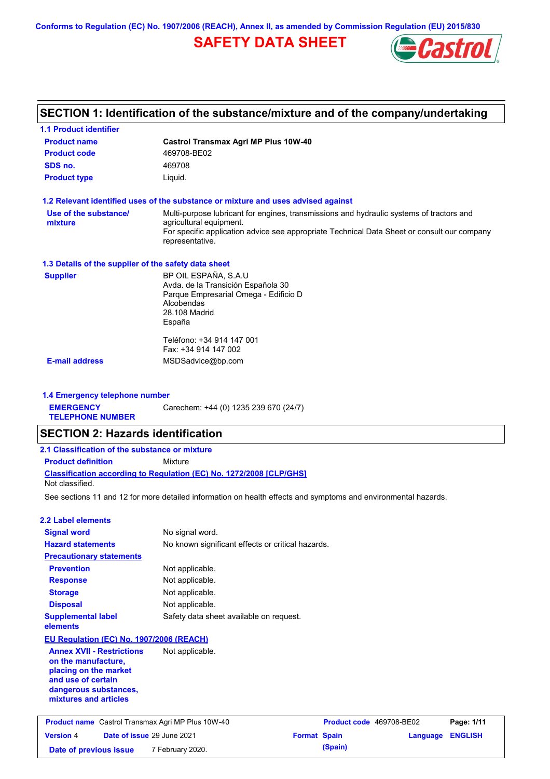**Conforms to Regulation (EC) No. 1907/2006 (REACH), Annex II, as amended by Commission Regulation (EU) 2015/830**

# **SAFETY DATA SHEET**



# **SECTION 1: Identification of the substance/mixture and of the company/undertaking**

| <b>1.1 Product identifier</b>                           |                                                                                                                                           |                     |                          |          |                |
|---------------------------------------------------------|-------------------------------------------------------------------------------------------------------------------------------------------|---------------------|--------------------------|----------|----------------|
| <b>Product name</b>                                     | Castrol Transmax Agri MP Plus 10W-40                                                                                                      |                     |                          |          |                |
| <b>Product code</b>                                     | 469708-BE02                                                                                                                               |                     |                          |          |                |
| SDS no.                                                 | 469708                                                                                                                                    |                     |                          |          |                |
| <b>Product type</b>                                     | Liquid.                                                                                                                                   |                     |                          |          |                |
|                                                         | 1.2 Relevant identified uses of the substance or mixture and uses advised against                                                         |                     |                          |          |                |
| Use of the substance/                                   | Multi-purpose lubricant for engines, transmissions and hydraulic systems of tractors and                                                  |                     |                          |          |                |
| mixture                                                 | agricultural equipment.<br>For specific application advice see appropriate Technical Data Sheet or consult our company<br>representative. |                     |                          |          |                |
| 1.3 Details of the supplier of the safety data sheet    |                                                                                                                                           |                     |                          |          |                |
| <b>Supplier</b>                                         | BP OIL ESPAÑA, S.A.U                                                                                                                      |                     |                          |          |                |
|                                                         | Avda. de la Transición Española 30<br>Parque Empresarial Omega - Edificio D<br>Alcobendas                                                 |                     |                          |          |                |
|                                                         | 28.108 Madrid<br>España                                                                                                                   |                     |                          |          |                |
|                                                         | Teléfono: +34 914 147 001                                                                                                                 |                     |                          |          |                |
| <b>E-mail address</b>                                   | Fax: +34 914 147 002                                                                                                                      |                     |                          |          |                |
|                                                         | MSDSadvice@bp.com                                                                                                                         |                     |                          |          |                |
| 1.4 Emergency telephone number                          |                                                                                                                                           |                     |                          |          |                |
| <b>EMERGENCY</b>                                        | Carechem: +44 (0) 1235 239 670 (24/7)                                                                                                     |                     |                          |          |                |
| <b>TELEPHONE NUMBER</b>                                 |                                                                                                                                           |                     |                          |          |                |
| <b>SECTION 2: Hazards identification</b>                |                                                                                                                                           |                     |                          |          |                |
| 2.1 Classification of the substance or mixture          |                                                                                                                                           |                     |                          |          |                |
| <b>Product definition</b>                               | Mixture                                                                                                                                   |                     |                          |          |                |
| Not classified.                                         | Classification according to Regulation (EC) No. 1272/2008 [CLP/GHS]                                                                       |                     |                          |          |                |
|                                                         | See sections 11 and 12 for more detailed information on health effects and symptoms and environmental hazards.                            |                     |                          |          |                |
| <b>2.2 Label elements</b>                               |                                                                                                                                           |                     |                          |          |                |
| <b>Signal word</b>                                      | No signal word.                                                                                                                           |                     |                          |          |                |
| <b>Hazard statements</b>                                | No known significant effects or critical hazards.                                                                                         |                     |                          |          |                |
| <b>Precautionary statements</b>                         |                                                                                                                                           |                     |                          |          |                |
| <b>Prevention</b>                                       | Not applicable.                                                                                                                           |                     |                          |          |                |
| <b>Response</b>                                         | Not applicable.                                                                                                                           |                     |                          |          |                |
| <b>Storage</b>                                          | Not applicable.                                                                                                                           |                     |                          |          |                |
| <b>Disposal</b>                                         | Not applicable.                                                                                                                           |                     |                          |          |                |
| <b>Supplemental label</b><br>elements                   | Safety data sheet available on request.                                                                                                   |                     |                          |          |                |
| EU Regulation (EC) No. 1907/2006 (REACH)                |                                                                                                                                           |                     |                          |          |                |
| <b>Annex XVII - Restrictions</b><br>on the manufacture, | Not applicable.                                                                                                                           |                     |                          |          |                |
| placing on the market<br>and use of certain             |                                                                                                                                           |                     |                          |          |                |
| dangerous substances,<br>mixtures and articles          |                                                                                                                                           |                     |                          |          |                |
| Product name Castrol Transmax Agri MP Plus 10W-40       |                                                                                                                                           |                     | Product code 469708-BE02 |          | Page: 1/11     |
| Date of issue 29 June 2021<br><b>Version 4</b>          |                                                                                                                                           | <b>Format Spain</b> |                          | Language | <b>ENGLISH</b> |
| Date of previous issue                                  | 7 February 2020.                                                                                                                          |                     | (Spain)                  |          |                |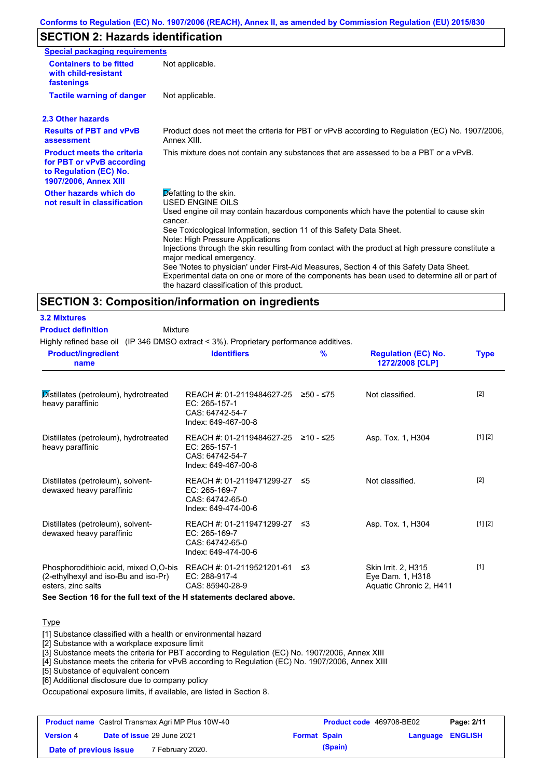# **SECTION 2: Hazards identification**

| <b>Special packaging requirements</b>                                                                                    |                                                                                                                                                                                                                                                                                                                                                                                                                                                                                                 |
|--------------------------------------------------------------------------------------------------------------------------|-------------------------------------------------------------------------------------------------------------------------------------------------------------------------------------------------------------------------------------------------------------------------------------------------------------------------------------------------------------------------------------------------------------------------------------------------------------------------------------------------|
| <b>Containers to be fitted</b><br>with child-resistant<br>fastenings                                                     | Not applicable.                                                                                                                                                                                                                                                                                                                                                                                                                                                                                 |
| <b>Tactile warning of danger</b>                                                                                         | Not applicable.                                                                                                                                                                                                                                                                                                                                                                                                                                                                                 |
| 2.3 Other hazards                                                                                                        |                                                                                                                                                                                                                                                                                                                                                                                                                                                                                                 |
| <b>Results of PBT and vPvB</b><br>assessment                                                                             | Product does not meet the criteria for PBT or vPvB according to Regulation (EC) No. 1907/2006,<br>Annex XIII.                                                                                                                                                                                                                                                                                                                                                                                   |
| <b>Product meets the criteria</b><br>for PBT or vPvB according<br>to Regulation (EC) No.<br><b>1907/2006, Annex XIII</b> | This mixture does not contain any substances that are assessed to be a PBT or a vPvB.                                                                                                                                                                                                                                                                                                                                                                                                           |
| Other hazards which do<br>not result in classification                                                                   | Defatting to the skin.<br><b>USED ENGINE OILS</b><br>Used engine oil may contain hazardous components which have the potential to cause skin<br>cancer.<br>See Toxicological Information, section 11 of this Safety Data Sheet.<br>Note: High Pressure Applications<br>Injections through the skin resulting from contact with the product at high pressure constitute a<br>major medical emergency.<br>See 'Notes to physician' under First-Aid Measures, Section 4 of this Safety Data Sheet. |
|                                                                                                                          | Experimental data on one or more of the components has been used to determine all or part of<br>the hazard classification of this product.                                                                                                                                                                                                                                                                                                                                                      |

# **SECTION 3: Composition/information on ingredients**

| <b>3.2 Mixtures</b>                                                                                 |                                                                                                |           |                                                                    |             |
|-----------------------------------------------------------------------------------------------------|------------------------------------------------------------------------------------------------|-----------|--------------------------------------------------------------------|-------------|
| <b>Product definition</b><br>Mixture                                                                |                                                                                                |           |                                                                    |             |
| Highly refined base oil (IP 346 DMSO extract < 3%). Proprietary performance additives.              |                                                                                                |           |                                                                    |             |
| <b>Product/ingredient</b><br>name                                                                   | <b>Identifiers</b>                                                                             | %         | <b>Regulation (EC) No.</b><br>1272/2008 [CLP]                      | <b>Type</b> |
| Distillates (petroleum), hydrotreated<br>heavy paraffinic                                           | REACH #: 01-2119484627-25<br>EC: 265-157-1<br>CAS: 64742-54-7<br>Index: 649-467-00-8           | 250 - ≤75 | Not classified.                                                    | $[2]$       |
| Distillates (petroleum), hydrotreated<br>heavy paraffinic                                           | REACH #: 01-2119484627-25 ≥10 - ≤25<br>EC: 265-157-1<br>CAS: 64742-54-7<br>Index: 649-467-00-8 |           | Asp. Tox. 1, H304                                                  | [1] [2]     |
| Distillates (petroleum), solvent-<br>dewaxed heavy paraffinic                                       | REACH #: 01-2119471299-27 ≤5<br>$EC: 265-169-7$<br>CAS: 64742-65-0<br>Index: 649-474-00-6      |           | Not classified.                                                    | $[2]$       |
| Distillates (petroleum), solvent-<br>dewaxed heavy paraffinic                                       | REACH #: 01-2119471299-27 ≤3<br>$EC: 265-169-7$<br>CAS: 64742-65-0<br>Index: 649-474-00-6      |           | Asp. Tox. 1, H304                                                  | [1] [2]     |
| Phosphorodithioic acid, mixed O,O-bis<br>(2-ethylhexyl and iso-Bu and iso-Pr)<br>esters, zinc salts | REACH #: 01-2119521201-61<br>EC: 288-917-4<br>CAS: 85940-28-9                                  | ≤3        | Skin Irrit. 2, H315<br>Eye Dam. 1, H318<br>Aquatic Chronic 2, H411 | $[1]$       |
| See Section 16 for the full text of the H statements declared above.                                |                                                                                                |           |                                                                    |             |

# **Type**

[1] Substance classified with a health or environmental hazard

[2] Substance with a workplace exposure limit

[3] Substance meets the criteria for PBT according to Regulation (EC) No. 1907/2006, Annex XIII

[4] Substance meets the criteria for vPvB according to Regulation (EC) No. 1907/2006, Annex XIII

[5] Substance of equivalent concern

[6] Additional disclosure due to company policy

Occupational exposure limits, if available, are listed in Section 8.

| <b>Product name</b> Castrol Transmax Agri MP Plus 10W-40 |                                                   | <b>Product code</b> 469708-BE02 |  | Page: 2/11              |  |  |
|----------------------------------------------------------|---------------------------------------------------|---------------------------------|--|-------------------------|--|--|
| <b>Version 4</b>                                         | Date of issue 29 June 2021<br><b>Format Spain</b> |                                 |  | <b>Language ENGLISH</b> |  |  |
| Date of previous issue                                   |                                                   | 7 February 2020.                |  | (Spain)                 |  |  |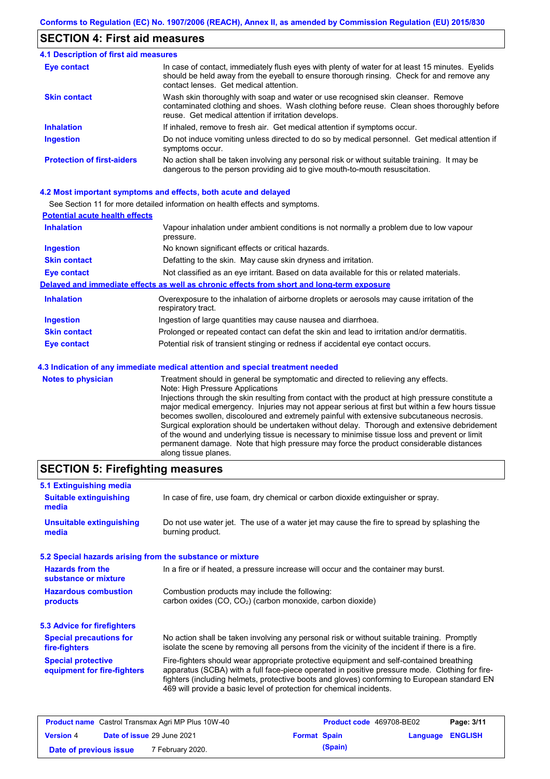### **SECTION 4: First aid measures**

#### Do not induce vomiting unless directed to do so by medical personnel. Get medical attention if symptoms occur. In case of contact, immediately flush eyes with plenty of water for at least 15 minutes. Eyelids should be held away from the eyeball to ensure thorough rinsing. Check for and remove any contact lenses. Get medical attention. **4.1 Description of first aid measures** If inhaled, remove to fresh air. Get medical attention if symptoms occur. **Ingestion Inhalation Eye contact Protection of first-aiders** No action shall be taken involving any personal risk or without suitable training. It may be dangerous to the person providing aid to give mouth-to-mouth resuscitation. **Skin contact** Wash skin thoroughly with soap and water or use recognised skin cleanser. Remove contaminated clothing and shoes. Wash clothing before reuse. Clean shoes thoroughly before reuse. Get medical attention if irritation develops.

### **4.2 Most important symptoms and effects, both acute and delayed**

See Section 11 for more detailed information on health effects and symptoms.

| <b>Potential acute health effects</b> |                                                                                                                   |
|---------------------------------------|-------------------------------------------------------------------------------------------------------------------|
| <b>Inhalation</b>                     | Vapour inhalation under ambient conditions is not normally a problem due to low vapour<br>pressure.               |
| <b>Ingestion</b>                      | No known significant effects or critical hazards.                                                                 |
| <b>Skin contact</b>                   | Defatting to the skin. May cause skin dryness and irritation.                                                     |
| <b>Eye contact</b>                    | Not classified as an eye irritant. Based on data available for this or related materials.                         |
|                                       | Delayed and immediate effects as well as chronic effects from short and long-term exposure                        |
| <b>Inhalation</b>                     | Overexposure to the inhalation of airborne droplets or aerosols may cause irritation of the<br>respiratory tract. |
| <b>Ingestion</b>                      | Ingestion of large quantities may cause nausea and diarrhoea.                                                     |
| <b>Skin contact</b>                   | Prolonged or repeated contact can defat the skin and lead to irritation and/or dermatitis.                        |
| Eye contact                           | Potential risk of transient stinging or redness if accidental eye contact occurs.                                 |
|                                       | 4.3 Indication of any immediate medical attention and special treatment needed                                    |
| Notes to physician                    | Treatment should in general he symptomatic and directed to relieving any effects                                  |

**Notes to physician** Treatment should in general be symptomatic and directed to relieving any effects. Note: High Pressure Applications Injections through the skin resulting from contact with the product at high pressure constitute a major medical emergency. Injuries may not appear serious at first but within a few hours tissue becomes swollen, discoloured and extremely painful with extensive subcutaneous necrosis. Surgical exploration should be undertaken without delay. Thorough and extensive debridement of the wound and underlying tissue is necessary to minimise tissue loss and prevent or limit permanent damage. Note that high pressure may force the product considerable distances along tissue planes.

# **SECTION 5: Firefighting measures**

| 5.1 Extinguishing media                                   |                                                                                                                                                                                                                                                                                                                                                                   |
|-----------------------------------------------------------|-------------------------------------------------------------------------------------------------------------------------------------------------------------------------------------------------------------------------------------------------------------------------------------------------------------------------------------------------------------------|
| <b>Suitable extinguishing</b><br>media                    | In case of fire, use foam, dry chemical or carbon dioxide extinguisher or spray.                                                                                                                                                                                                                                                                                  |
| <b>Unsuitable extinguishing</b><br>media                  | Do not use water jet. The use of a water jet may cause the fire to spread by splashing the<br>burning product.                                                                                                                                                                                                                                                    |
| 5.2 Special hazards arising from the substance or mixture |                                                                                                                                                                                                                                                                                                                                                                   |
| <b>Hazards from the</b><br>substance or mixture           | In a fire or if heated, a pressure increase will occur and the container may burst.                                                                                                                                                                                                                                                                               |
| <b>Hazardous combustion</b><br>products                   | Combustion products may include the following:<br>carbon oxides (CO, CO <sub>2</sub> ) (carbon monoxide, carbon dioxide)                                                                                                                                                                                                                                          |
| 5.3 Advice for firefighters                               |                                                                                                                                                                                                                                                                                                                                                                   |
| <b>Special precautions for</b><br>fire-fighters           | No action shall be taken involving any personal risk or without suitable training. Promptly<br>isolate the scene by removing all persons from the vicinity of the incident if there is a fire.                                                                                                                                                                    |
| <b>Special protective</b><br>equipment for fire-fighters  | Fire-fighters should wear appropriate protective equipment and self-contained breathing<br>apparatus (SCBA) with a full face-piece operated in positive pressure mode. Clothing for fire-<br>fighters (including helmets, protective boots and gloves) conforming to European standard EN<br>469 will provide a basic level of protection for chemical incidents. |

| <b>Product name</b> Castrol Transmax Agri MP Plus 10W-40 |  | <b>Product code</b> 469708-BE02 |         | Page: 3/11              |  |
|----------------------------------------------------------|--|---------------------------------|---------|-------------------------|--|
| Date of issue 29 June 2021<br><b>Version 4</b>           |  | <b>Format Spain</b>             |         | <b>Language ENGLISH</b> |  |
| <sup>7</sup> February 2020.<br>Date of previous issue    |  |                                 | (Spain) |                         |  |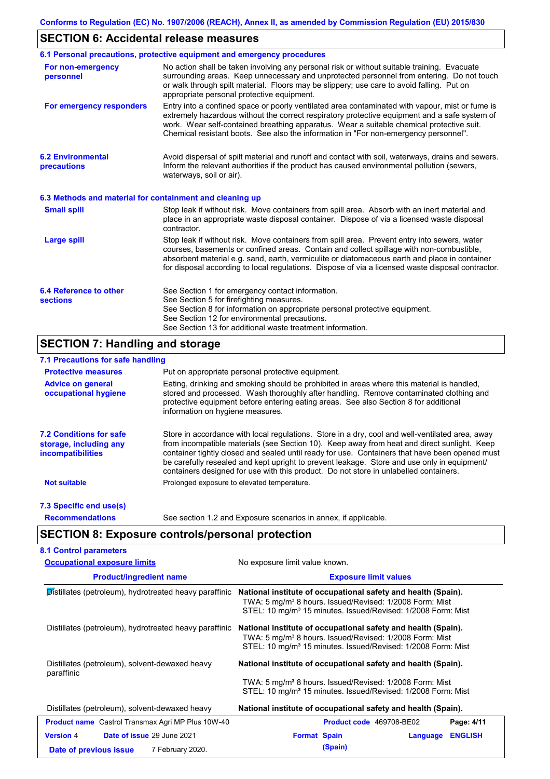# **SECTION 6: Accidental release measures**

|                                                          | 6.1 Personal precautions, protective equipment and emergency procedures                                                                                                                                                                                                                                                                                                                        |
|----------------------------------------------------------|------------------------------------------------------------------------------------------------------------------------------------------------------------------------------------------------------------------------------------------------------------------------------------------------------------------------------------------------------------------------------------------------|
| For non-emergency<br>personnel                           | No action shall be taken involving any personal risk or without suitable training. Evacuate<br>surrounding areas. Keep unnecessary and unprotected personnel from entering. Do not touch<br>or walk through spilt material. Floors may be slippery; use care to avoid falling. Put on<br>appropriate personal protective equipment.                                                            |
| For emergency responders                                 | Entry into a confined space or poorly ventilated area contaminated with vapour, mist or fume is<br>extremely hazardous without the correct respiratory protective equipment and a safe system of<br>work. Wear self-contained breathing apparatus. Wear a suitable chemical protective suit.<br>Chemical resistant boots. See also the information in "For non-emergency personnel".           |
| <b>6.2 Environmental</b><br>precautions                  | Avoid dispersal of spilt material and runoff and contact with soil, waterways, drains and sewers.<br>Inform the relevant authorities if the product has caused environmental pollution (sewers,<br>waterways, soil or air).                                                                                                                                                                    |
| 6.3 Methods and material for containment and cleaning up |                                                                                                                                                                                                                                                                                                                                                                                                |
| <b>Small spill</b>                                       | Stop leak if without risk. Move containers from spill area. Absorb with an inert material and<br>place in an appropriate waste disposal container. Dispose of via a licensed waste disposal<br>contractor.                                                                                                                                                                                     |
| <b>Large spill</b>                                       | Stop leak if without risk. Move containers from spill area. Prevent entry into sewers, water<br>courses, basements or confined areas. Contain and collect spillage with non-combustible,<br>absorbent material e.g. sand, earth, vermiculite or diatomaceous earth and place in container<br>for disposal according to local regulations. Dispose of via a licensed waste disposal contractor. |
| 6.4 Reference to other<br><b>sections</b>                | See Section 1 for emergency contact information.<br>See Section 5 for firefighting measures.<br>See Section 8 for information on appropriate personal protective equipment.<br>See Section 12 for environmental precautions.<br>See Section 13 for additional waste treatment information.                                                                                                     |

# **SECTION 7: Handling and storage**

## **7.1 Precautions for safe handling**

| <b>Protective measures</b>                                                           | Put on appropriate personal protective equipment.                                                                                                                                                                                                                                                                                                                                                                                                                                        |
|--------------------------------------------------------------------------------------|------------------------------------------------------------------------------------------------------------------------------------------------------------------------------------------------------------------------------------------------------------------------------------------------------------------------------------------------------------------------------------------------------------------------------------------------------------------------------------------|
| <b>Advice on general</b><br>occupational hygiene                                     | Eating, drinking and smoking should be prohibited in areas where this material is handled,<br>stored and processed. Wash thoroughly after handling. Remove contaminated clothing and<br>protective equipment before entering eating areas. See also Section 8 for additional<br>information on hygiene measures.                                                                                                                                                                         |
| <b>7.2 Conditions for safe</b><br>storage, including any<br><i>incompatibilities</i> | Store in accordance with local requiations. Store in a dry, cool and well-ventilated area, away<br>from incompatible materials (see Section 10). Keep away from heat and direct sunlight. Keep<br>container tightly closed and sealed until ready for use. Containers that have been opened must<br>be carefully resealed and kept upright to prevent leakage. Store and use only in equipment/<br>containers designed for use with this product. Do not store in unlabelled containers. |
| <b>Not suitable</b>                                                                  | Prolonged exposure to elevated temperature.                                                                                                                                                                                                                                                                                                                                                                                                                                              |
| 7.3 Specific end use(s)                                                              |                                                                                                                                                                                                                                                                                                                                                                                                                                                                                          |
| <b>Recommendations</b>                                                               | See section 1.2 and Exposure scenarios in annex, if applicable.                                                                                                                                                                                                                                                                                                                                                                                                                          |

# **SECTION 8: Exposure controls/personal protection**

| <b>Occupational exposure limits</b>                      | No exposure limit value known.<br><b>Exposure limit values</b>                                                                                                                                                   |  |  |  |
|----------------------------------------------------------|------------------------------------------------------------------------------------------------------------------------------------------------------------------------------------------------------------------|--|--|--|
| <b>Product/ingredient name</b>                           |                                                                                                                                                                                                                  |  |  |  |
| Distillates (petroleum), hydrotreated heavy paraffinic   | National institute of occupational safety and health (Spain).<br>TWA: 5 mg/m <sup>3</sup> 8 hours. Issued/Revised: 1/2008 Form: Mist<br>STEL: 10 mg/m <sup>3</sup> 15 minutes. Issued/Revised: 1/2008 Form: Mist |  |  |  |
| Distillates (petroleum), hydrotreated heavy paraffinic   | National institute of occupational safety and health (Spain).<br>TWA: 5 mg/m <sup>3</sup> 8 hours. Issued/Revised: 1/2008 Form: Mist<br>STEL: 10 mg/m <sup>3</sup> 15 minutes. Issued/Revised: 1/2008 Form: Mist |  |  |  |
| Distillates (petroleum), solvent-dewaxed heavy           | National institute of occupational safety and health (Spain).                                                                                                                                                    |  |  |  |
| paraffinic                                               | TWA: 5 mg/m <sup>3</sup> 8 hours. Issued/Revised: 1/2008 Form: Mist<br>STEL: 10 mg/m <sup>3</sup> 15 minutes. Issued/Revised: 1/2008 Form: Mist                                                                  |  |  |  |
| Distillates (petroleum), solvent-dewaxed heavy           | National institute of occupational safety and health (Spain).                                                                                                                                                    |  |  |  |
| <b>Product name</b> Castrol Transmax Agri MP Plus 10W-40 | Page: 4/11<br>Product code 469708-BE02                                                                                                                                                                           |  |  |  |
| Date of issue 29 June 2021<br><b>Version 4</b>           | <b>Format Spain</b><br><b>ENGLISH</b><br>Language                                                                                                                                                                |  |  |  |
| 7 February 2020.<br>Date of previous issue               | (Spain)                                                                                                                                                                                                          |  |  |  |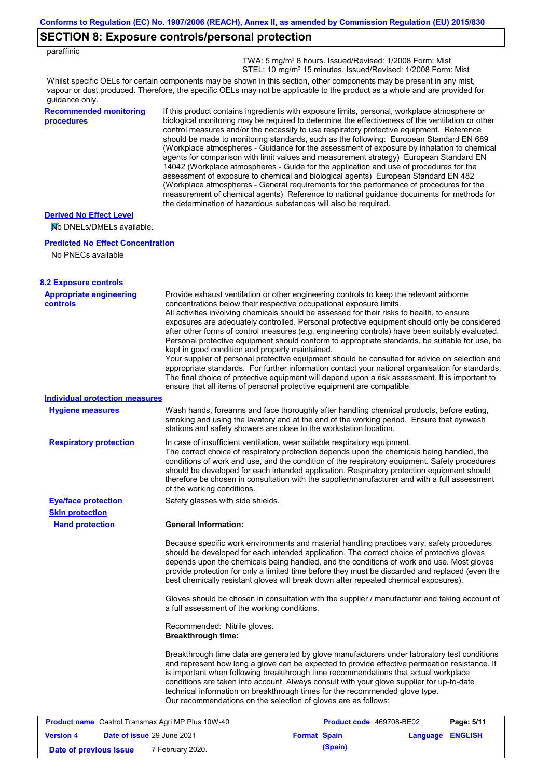# **SECTION 8: Exposure controls/personal protection**

| paraffinic |  |
|------------|--|

 TWA: 5 mg/m³ 8 hours. Issued/Revised: 1/2008 Form: Mist STEL: 10 mg/m<sup>3</sup> 15 minutes. Issued/Revised: 1/2008 Form: Mist

Whilst specific OELs for certain components may be shown in this section, other components may be present in any mist, vapour or dust produced. Therefore, the specific OELs may not be applicable to the product as a whole and are provided for guidance only.

### **Recommended monitoring procedures**

If this product contains ingredients with exposure limits, personal, workplace atmosphere or biological monitoring may be required to determine the effectiveness of the ventilation or other control measures and/or the necessity to use respiratory protective equipment. Reference should be made to monitoring standards, such as the following: European Standard EN 689 (Workplace atmospheres - Guidance for the assessment of exposure by inhalation to chemical agents for comparison with limit values and measurement strategy) European Standard EN 14042 (Workplace atmospheres - Guide for the application and use of procedures for the assessment of exposure to chemical and biological agents) European Standard EN 482 (Workplace atmospheres - General requirements for the performance of procedures for the measurement of chemical agents) Reference to national guidance documents for methods for the determination of hazardous substances will also be required.

#### **Derived No Effect Level**

No DNELs/DMELs available.

#### **Predicted No Effect Concentration**

No PNECs available

| <b>8.2 Exposure controls</b>                             |                                                                                                                                                                                                                                                                                                                                                                                                                                                                                                                                                                                                                                                                                                                                                                                                                                                                                                                                                                                                         |                          |                  |            |
|----------------------------------------------------------|---------------------------------------------------------------------------------------------------------------------------------------------------------------------------------------------------------------------------------------------------------------------------------------------------------------------------------------------------------------------------------------------------------------------------------------------------------------------------------------------------------------------------------------------------------------------------------------------------------------------------------------------------------------------------------------------------------------------------------------------------------------------------------------------------------------------------------------------------------------------------------------------------------------------------------------------------------------------------------------------------------|--------------------------|------------------|------------|
| <b>Appropriate engineering</b><br><b>controls</b>        | Provide exhaust ventilation or other engineering controls to keep the relevant airborne<br>concentrations below their respective occupational exposure limits.<br>All activities involving chemicals should be assessed for their risks to health, to ensure<br>exposures are adequately controlled. Personal protective equipment should only be considered<br>after other forms of control measures (e.g. engineering controls) have been suitably evaluated.<br>Personal protective equipment should conform to appropriate standards, be suitable for use, be<br>kept in good condition and properly maintained.<br>Your supplier of personal protective equipment should be consulted for advice on selection and<br>appropriate standards. For further information contact your national organisation for standards.<br>The final choice of protective equipment will depend upon a risk assessment. It is important to<br>ensure that all items of personal protective equipment are compatible. |                          |                  |            |
| <b>Individual protection measures</b>                    |                                                                                                                                                                                                                                                                                                                                                                                                                                                                                                                                                                                                                                                                                                                                                                                                                                                                                                                                                                                                         |                          |                  |            |
| <b>Hygiene measures</b>                                  | Wash hands, forearms and face thoroughly after handling chemical products, before eating,<br>smoking and using the lavatory and at the end of the working period. Ensure that eyewash<br>stations and safety showers are close to the workstation location.                                                                                                                                                                                                                                                                                                                                                                                                                                                                                                                                                                                                                                                                                                                                             |                          |                  |            |
| <b>Respiratory protection</b>                            | In case of insufficient ventilation, wear suitable respiratory equipment.<br>The correct choice of respiratory protection depends upon the chemicals being handled, the<br>conditions of work and use, and the condition of the respiratory equipment. Safety procedures<br>should be developed for each intended application. Respiratory protection equipment should<br>therefore be chosen in consultation with the supplier/manufacturer and with a full assessment<br>of the working conditions.                                                                                                                                                                                                                                                                                                                                                                                                                                                                                                   |                          |                  |            |
| <b>Eye/face protection</b>                               | Safety glasses with side shields.                                                                                                                                                                                                                                                                                                                                                                                                                                                                                                                                                                                                                                                                                                                                                                                                                                                                                                                                                                       |                          |                  |            |
| <b>Skin protection</b>                                   |                                                                                                                                                                                                                                                                                                                                                                                                                                                                                                                                                                                                                                                                                                                                                                                                                                                                                                                                                                                                         |                          |                  |            |
| <b>Hand protection</b>                                   | <b>General Information:</b>                                                                                                                                                                                                                                                                                                                                                                                                                                                                                                                                                                                                                                                                                                                                                                                                                                                                                                                                                                             |                          |                  |            |
|                                                          | Because specific work environments and material handling practices vary, safety procedures<br>should be developed for each intended application. The correct choice of protective gloves<br>depends upon the chemicals being handled, and the conditions of work and use. Most gloves<br>provide protection for only a limited time before they must be discarded and replaced (even the<br>best chemically resistant gloves will break down after repeated chemical exposures).                                                                                                                                                                                                                                                                                                                                                                                                                                                                                                                        |                          |                  |            |
|                                                          | Gloves should be chosen in consultation with the supplier / manufacturer and taking account of<br>a full assessment of the working conditions.                                                                                                                                                                                                                                                                                                                                                                                                                                                                                                                                                                                                                                                                                                                                                                                                                                                          |                          |                  |            |
|                                                          | Recommended: Nitrile gloves.<br><b>Breakthrough time:</b>                                                                                                                                                                                                                                                                                                                                                                                                                                                                                                                                                                                                                                                                                                                                                                                                                                                                                                                                               |                          |                  |            |
|                                                          | Breakthrough time data are generated by glove manufacturers under laboratory test conditions<br>and represent how long a glove can be expected to provide effective permeation resistance. It<br>is important when following breakthrough time recommendations that actual workplace<br>conditions are taken into account. Always consult with your glove supplier for up-to-date<br>technical information on breakthrough times for the recommended glove type.<br>Our recommendations on the selection of gloves are as follows:                                                                                                                                                                                                                                                                                                                                                                                                                                                                      |                          |                  |            |
| <b>Product name</b> Castrol Transmax Agri MP Plus 10W-40 |                                                                                                                                                                                                                                                                                                                                                                                                                                                                                                                                                                                                                                                                                                                                                                                                                                                                                                                                                                                                         | Product code 469708-BE02 |                  | Page: 5/11 |
| <b>Version 4</b><br>Date of issue 29 June 2021           |                                                                                                                                                                                                                                                                                                                                                                                                                                                                                                                                                                                                                                                                                                                                                                                                                                                                                                                                                                                                         | <b>Format Spain</b>      | Language ENGLISH |            |

**Date of previous issue** 7 February 2020.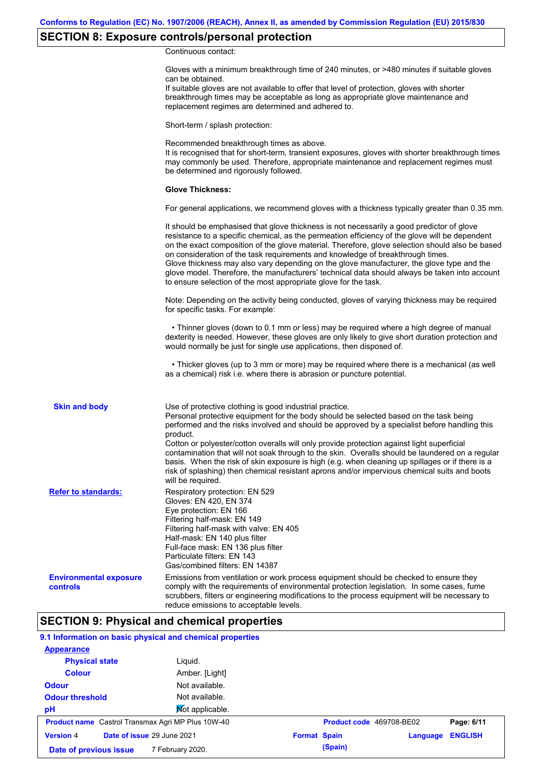# **SECTION 8: Exposure controls/personal protection**

Continuous contact:

|                                           | Gloves with a minimum breakthrough time of 240 minutes, or >480 minutes if suitable gloves<br>can be obtained.<br>If suitable gloves are not available to offer that level of protection, gloves with shorter<br>breakthrough times may be acceptable as long as appropriate glove maintenance and<br>replacement regimes are determined and adhered to.                                                                                                                                                                                                                                                                                                                              |
|-------------------------------------------|---------------------------------------------------------------------------------------------------------------------------------------------------------------------------------------------------------------------------------------------------------------------------------------------------------------------------------------------------------------------------------------------------------------------------------------------------------------------------------------------------------------------------------------------------------------------------------------------------------------------------------------------------------------------------------------|
|                                           | Short-term / splash protection:                                                                                                                                                                                                                                                                                                                                                                                                                                                                                                                                                                                                                                                       |
|                                           | Recommended breakthrough times as above.<br>It is recognised that for short-term, transient exposures, gloves with shorter breakthrough times<br>may commonly be used. Therefore, appropriate maintenance and replacement regimes must<br>be determined and rigorously followed.                                                                                                                                                                                                                                                                                                                                                                                                      |
|                                           | <b>Glove Thickness:</b>                                                                                                                                                                                                                                                                                                                                                                                                                                                                                                                                                                                                                                                               |
|                                           | For general applications, we recommend gloves with a thickness typically greater than 0.35 mm.                                                                                                                                                                                                                                                                                                                                                                                                                                                                                                                                                                                        |
|                                           | It should be emphasised that glove thickness is not necessarily a good predictor of glove<br>resistance to a specific chemical, as the permeation efficiency of the glove will be dependent<br>on the exact composition of the glove material. Therefore, glove selection should also be based<br>on consideration of the task requirements and knowledge of breakthrough times.<br>Glove thickness may also vary depending on the glove manufacturer, the glove type and the<br>glove model. Therefore, the manufacturers' technical data should always be taken into account<br>to ensure selection of the most appropriate glove for the task.                                     |
|                                           | Note: Depending on the activity being conducted, gloves of varying thickness may be required<br>for specific tasks. For example:                                                                                                                                                                                                                                                                                                                                                                                                                                                                                                                                                      |
|                                           | • Thinner gloves (down to 0.1 mm or less) may be required where a high degree of manual<br>dexterity is needed. However, these gloves are only likely to give short duration protection and<br>would normally be just for single use applications, then disposed of.                                                                                                                                                                                                                                                                                                                                                                                                                  |
|                                           | • Thicker gloves (up to 3 mm or more) may be required where there is a mechanical (as well<br>as a chemical) risk i.e. where there is abrasion or puncture potential.                                                                                                                                                                                                                                                                                                                                                                                                                                                                                                                 |
| <b>Skin and body</b>                      | Use of protective clothing is good industrial practice.<br>Personal protective equipment for the body should be selected based on the task being<br>performed and the risks involved and should be approved by a specialist before handling this<br>product.<br>Cotton or polyester/cotton overalls will only provide protection against light superficial<br>contamination that will not soak through to the skin. Overalls should be laundered on a regular<br>basis. When the risk of skin exposure is high (e.g. when cleaning up spillages or if there is a<br>risk of splashing) then chemical resistant aprons and/or impervious chemical suits and boots<br>will be required. |
| <b>Refer to standards:</b>                | Respiratory protection: EN 529<br>Gloves: EN 420, EN 374<br>Eye protection: EN 166<br>Filtering half-mask: EN 149<br>Filtering half-mask with valve: EN 405<br>Half-mask: EN 140 plus filter<br>Full-face mask: EN 136 plus filter<br>Particulate filters: EN 143<br>Gas/combined filters: EN 14387                                                                                                                                                                                                                                                                                                                                                                                   |
| <b>Environmental exposure</b><br>controls | Emissions from ventilation or work process equipment should be checked to ensure they<br>comply with the requirements of environmental protection legislation. In some cases, fume<br>scrubbers, filters or engineering modifications to the process equipment will be necessary to<br>reduce emissions to acceptable levels.                                                                                                                                                                                                                                                                                                                                                         |

# **SECTION 9: Physical and chemical properties**

### **9.1 Information on basic physical and chemical properties**

| <b>Appearance</b>                                        |                 |                     |                          |                |
|----------------------------------------------------------|-----------------|---------------------|--------------------------|----------------|
| <b>Physical state</b>                                    | Liguid.         |                     |                          |                |
| <b>Colour</b>                                            | Amber. [Light]  |                     |                          |                |
| <b>Odour</b>                                             | Not available.  |                     |                          |                |
| <b>Odour threshold</b>                                   | Not available.  |                     |                          |                |
| pH                                                       | Not applicable. |                     |                          |                |
| <b>Product name</b> Castrol Transmax Agri MP Plus 10W-40 |                 |                     | Product code 469708-BE02 | Page: 6/11     |
| <b>Version 4</b><br>Date of issue 29 June 2021           |                 | <b>Format Spain</b> | Language                 | <b>ENGLISH</b> |
| 7 February 2020.<br>Date of previous issue               |                 | (Spain)             |                          |                |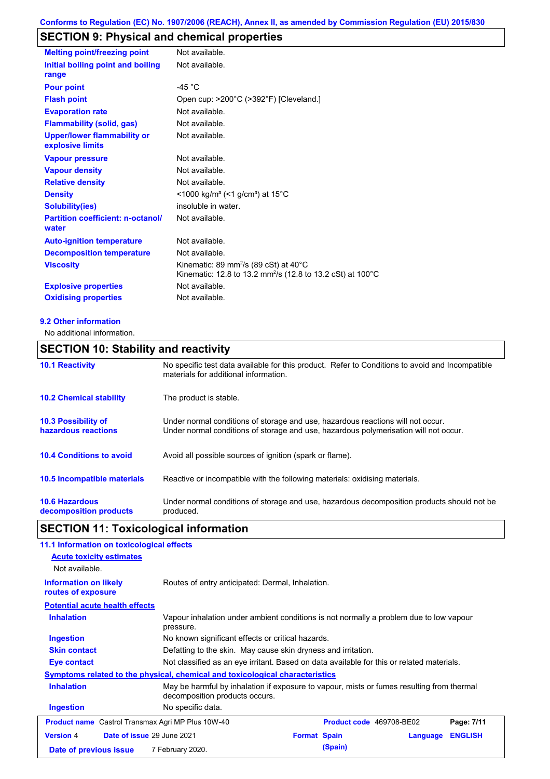# **SECTION 9: Physical and chemical properties**

| <b>Melting point/freezing point</b>                    | Not available.                                                                                                                         |
|--------------------------------------------------------|----------------------------------------------------------------------------------------------------------------------------------------|
| Initial boiling point and boiling<br>range             | Not available.                                                                                                                         |
| <b>Pour point</b>                                      | -45 $^{\circ}$ C                                                                                                                       |
| <b>Flash point</b>                                     | Open cup: >200°C (>392°F) [Cleveland.]                                                                                                 |
| <b>Evaporation rate</b>                                | Not available.                                                                                                                         |
| <b>Flammability (solid, gas)</b>                       | Not available.                                                                                                                         |
| <b>Upper/lower flammability or</b><br>explosive limits | Not available.                                                                                                                         |
| <b>Vapour pressure</b>                                 | Not available.                                                                                                                         |
| <b>Vapour density</b>                                  | Not available.                                                                                                                         |
| <b>Relative density</b>                                | Not available.                                                                                                                         |
| <b>Density</b>                                         | <1000 kg/m <sup>3</sup> (<1 g/cm <sup>3</sup> ) at 15 <sup>°</sup> C                                                                   |
| <b>Solubility(ies)</b>                                 | insoluble in water.                                                                                                                    |
| <b>Partition coefficient: n-octanol/</b><br>water      | Not available.                                                                                                                         |
| <b>Auto-ignition temperature</b>                       | Not available.                                                                                                                         |
| <b>Decomposition temperature</b>                       | Not available.                                                                                                                         |
| <b>Viscosity</b>                                       | Kinematic: 89 mm <sup>2</sup> /s (89 cSt) at $40^{\circ}$ C<br>Kinematic: 12.8 to 13.2 mm <sup>2</sup> /s (12.8 to 13.2 cSt) at 100 °C |
| <b>Explosive properties</b>                            | Not available.                                                                                                                         |
| <b>Oxidising properties</b>                            | Not available.                                                                                                                         |

### **9.2 Other information**

No additional information.

# **SECTION 10: Stability and reactivity**

| <b>10.1 Reactivity</b>                            | No specific test data available for this product. Refer to Conditions to avoid and Incompatible<br>materials for additional information.                                |
|---------------------------------------------------|-------------------------------------------------------------------------------------------------------------------------------------------------------------------------|
| <b>10.2 Chemical stability</b>                    | The product is stable.                                                                                                                                                  |
| <b>10.3 Possibility of</b><br>hazardous reactions | Under normal conditions of storage and use, hazardous reactions will not occur.<br>Under normal conditions of storage and use, hazardous polymerisation will not occur. |
| <b>10.4 Conditions to avoid</b>                   | Avoid all possible sources of ignition (spark or flame).                                                                                                                |
| 10.5 Incompatible materials                       | Reactive or incompatible with the following materials: oxidising materials.                                                                                             |
| <b>10.6 Hazardous</b><br>decomposition products   | Under normal conditions of storage and use, hazardous decomposition products should not be<br>produced.                                                                 |

# **SECTION 11: Toxicological information**

| 11.1 Information on toxicological effects                                                                                                        |                                                                                                     |                                                               |                          |          |                |  |  |
|--------------------------------------------------------------------------------------------------------------------------------------------------|-----------------------------------------------------------------------------------------------------|---------------------------------------------------------------|--------------------------|----------|----------------|--|--|
| <b>Acute toxicity estimates</b>                                                                                                                  |                                                                                                     |                                                               |                          |          |                |  |  |
| Not available.                                                                                                                                   |                                                                                                     |                                                               |                          |          |                |  |  |
| <b>Information on likely</b><br>routes of exposure                                                                                               |                                                                                                     | Routes of entry anticipated: Dermal, Inhalation.              |                          |          |                |  |  |
| <b>Potential acute health effects</b>                                                                                                            |                                                                                                     |                                                               |                          |          |                |  |  |
| <b>Inhalation</b>                                                                                                                                | Vapour inhalation under ambient conditions is not normally a problem due to low vapour<br>pressure. |                                                               |                          |          |                |  |  |
| <b>Ingestion</b>                                                                                                                                 |                                                                                                     | No known significant effects or critical hazards.             |                          |          |                |  |  |
| <b>Skin contact</b>                                                                                                                              |                                                                                                     | Defatting to the skin. May cause skin dryness and irritation. |                          |          |                |  |  |
| Eye contact                                                                                                                                      | Not classified as an eye irritant. Based on data available for this or related materials.           |                                                               |                          |          |                |  |  |
|                                                                                                                                                  | Symptoms related to the physical, chemical and toxicological characteristics                        |                                                               |                          |          |                |  |  |
| <b>Inhalation</b><br>May be harmful by inhalation if exposure to vapour, mists or fumes resulting from thermal<br>decomposition products occurs. |                                                                                                     |                                                               |                          |          |                |  |  |
| <b>Ingestion</b>                                                                                                                                 | No specific data.                                                                                   |                                                               |                          |          |                |  |  |
| <b>Product name</b> Castrol Transmax Agri MP Plus 10W-40                                                                                         |                                                                                                     |                                                               | Product code 469708-BE02 |          | Page: 7/11     |  |  |
| <b>Version 4</b><br>Date of issue 29 June 2021                                                                                                   |                                                                                                     | <b>Format Spain</b>                                           |                          | Language | <b>ENGLISH</b> |  |  |
| Date of previous issue                                                                                                                           | 7 February 2020.                                                                                    |                                                               | (Spain)                  |          |                |  |  |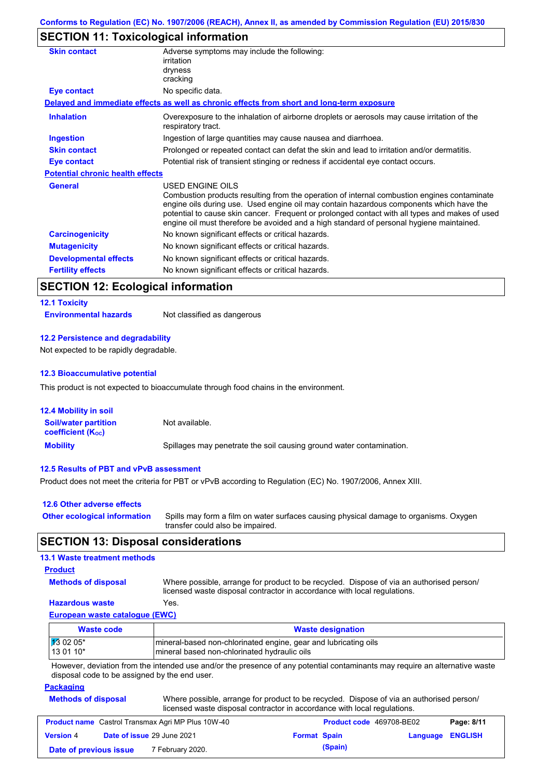# **SECTION 11: Toxicological information**

| Adverse symptoms may include the following:<br>irritation                                                                                                                                                                                                                                                                                                                                                |
|----------------------------------------------------------------------------------------------------------------------------------------------------------------------------------------------------------------------------------------------------------------------------------------------------------------------------------------------------------------------------------------------------------|
| dryness                                                                                                                                                                                                                                                                                                                                                                                                  |
| cracking                                                                                                                                                                                                                                                                                                                                                                                                 |
| No specific data.                                                                                                                                                                                                                                                                                                                                                                                        |
| Delayed and immediate effects as well as chronic effects from short and long-term exposure                                                                                                                                                                                                                                                                                                               |
| Overexposure to the inhalation of airborne droplets or aerosols may cause irritation of the<br>respiratory tract.                                                                                                                                                                                                                                                                                        |
| Ingestion of large quantities may cause nausea and diarrhoea.                                                                                                                                                                                                                                                                                                                                            |
| Prolonged or repeated contact can defat the skin and lead to irritation and/or dermatitis.                                                                                                                                                                                                                                                                                                               |
| Potential risk of transient stinging or redness if accidental eye contact occurs.                                                                                                                                                                                                                                                                                                                        |
| <b>Potential chronic health effects</b>                                                                                                                                                                                                                                                                                                                                                                  |
| USED ENGINE OILS<br>Combustion products resulting from the operation of internal combustion engines contaminate<br>engine oils during use. Used engine oil may contain hazardous components which have the<br>potential to cause skin cancer. Frequent or prolonged contact with all types and makes of used<br>engine oil must therefore be avoided and a high standard of personal hygiene maintained. |
| No known significant effects or critical hazards.                                                                                                                                                                                                                                                                                                                                                        |
| No known significant effects or critical hazards.                                                                                                                                                                                                                                                                                                                                                        |
| No known significant effects or critical hazards.                                                                                                                                                                                                                                                                                                                                                        |
| No known significant effects or critical hazards.                                                                                                                                                                                                                                                                                                                                                        |
|                                                                                                                                                                                                                                                                                                                                                                                                          |

# **SECTION 12: Ecological information**

### **12.1 Toxicity**

**Environmental hazards** Not classified as dangerous

### **12.2 Persistence and degradability**

Not expected to be rapidly degradable.

### **12.3 Bioaccumulative potential**

This product is not expected to bioaccumulate through food chains in the environment.

| <b>12.4 Mobility in soil</b>                            |                                                                      |
|---------------------------------------------------------|----------------------------------------------------------------------|
| <b>Soil/water partition</b><br><b>coefficient (Koc)</b> | Not available.                                                       |
| <b>Mobility</b>                                         | Spillages may penetrate the soil causing ground water contamination. |

### **12.5 Results of PBT and vPvB assessment**

Product does not meet the criteria for PBT or vPvB according to Regulation (EC) No. 1907/2006, Annex XIII.

| 12.6 Other adverse effects          |                                                                                                                           |
|-------------------------------------|---------------------------------------------------------------------------------------------------------------------------|
| <b>Other ecological information</b> | Spills may form a film on water surfaces causing physical damage to organisms. Oxygen<br>transfer could also be impaired. |

# **SECTION 13: Disposal considerations**

### **13.1 Waste treatment methods**

### **Product**

**Methods of disposal**

Where possible, arrange for product to be recycled. Dispose of via an authorised person/

### **Hazardous waste** Yes.

licensed waste disposal contractor in accordance with local regulations.

### **European waste catalogue (EWC)**

| <b>Waste code</b>  | <b>Waste designation</b>                                        |
|--------------------|-----------------------------------------------------------------|
| $\sqrt{13}$ 02 05* | mineral-based non-chlorinated engine, gear and lubricating oils |
| $130110*$          | Imineral based non-chlorinated hydraulic oils                   |

However, deviation from the intended use and/or the presence of any potential contaminants may require an alternative waste disposal code to be assigned by the end user.

### **Packaging**

| <b>Methods of disposal</b> | Where possible, arrange for product to be recycled. Dispose of via an authorised person/ |
|----------------------------|------------------------------------------------------------------------------------------|
|                            | licensed waste disposal contractor in accordance with local regulations.                 |

| <b>Product name</b> Castrol Transmax Agri MP Plus 10W-40 |  |                                   | <b>Product code</b> 469708-BE02 |         | Page: 8/11              |  |
|----------------------------------------------------------|--|-----------------------------------|---------------------------------|---------|-------------------------|--|
| <b>Version 4</b>                                         |  | <b>Date of issue 29 June 2021</b> | <b>Format Spain</b>             |         | <b>Language ENGLISH</b> |  |
| Date of previous issue                                   |  | 7 February 2020.                  |                                 | (Spain) |                         |  |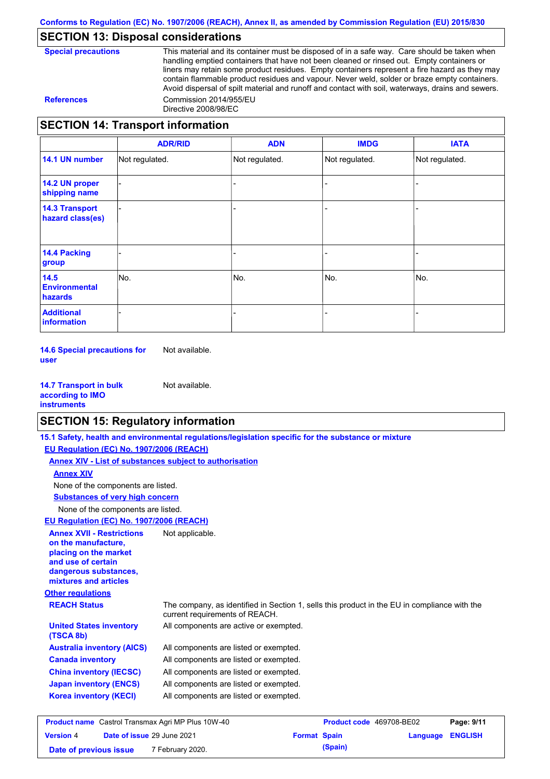# **SECTION 13: Disposal considerations**

This material and its container must be disposed of in a safe way. Care should be taken when handling emptied containers that have not been cleaned or rinsed out. Empty containers or liners may retain some product residues. Empty containers represent a fire hazard as they may contain flammable product residues and vapour. Never weld, solder or braze empty containers. Avoid dispersal of spilt material and runoff and contact with soil, waterways, drains and sewers. **References** Commission 2014/955/EU Directive 2008/98/EC

### **SECTION 14: Transport information**

|                                           | <b>ADR/RID</b> | <b>ADN</b>     | <b>IMDG</b>    | <b>IATA</b>    |
|-------------------------------------------|----------------|----------------|----------------|----------------|
| 14.1 UN number                            | Not regulated. | Not regulated. | Not regulated. | Not regulated. |
| 14.2 UN proper<br>shipping name           |                |                |                |                |
| <b>14.3 Transport</b><br>hazard class(es) |                |                |                |                |
| <b>14.4 Packing</b><br>group              |                |                |                |                |
| 14.5<br><b>Environmental</b><br>hazards   | No.            | No.            | No.            | No.            |
| <b>Additional</b><br>information          |                |                |                |                |

**14.6 Special precautions for user** Not available.

**14.7 Transport in bulk according to IMO instruments** Not available.

### **SECTION 15: Regulatory information**

|                                                                                                                                                          | 15.1 Safety, health and environmental regulations/legislation specific for the substance or mixture                            |                          |          |                |
|----------------------------------------------------------------------------------------------------------------------------------------------------------|--------------------------------------------------------------------------------------------------------------------------------|--------------------------|----------|----------------|
| EU Regulation (EC) No. 1907/2006 (REACH)                                                                                                                 |                                                                                                                                |                          |          |                |
|                                                                                                                                                          | Annex XIV - List of substances subject to authorisation                                                                        |                          |          |                |
| <b>Annex XIV</b>                                                                                                                                         |                                                                                                                                |                          |          |                |
| None of the components are listed.                                                                                                                       |                                                                                                                                |                          |          |                |
| <b>Substances of very high concern</b>                                                                                                                   |                                                                                                                                |                          |          |                |
| None of the components are listed.                                                                                                                       |                                                                                                                                |                          |          |                |
| EU Regulation (EC) No. 1907/2006 (REACH)                                                                                                                 |                                                                                                                                |                          |          |                |
| <b>Annex XVII - Restrictions</b><br>on the manufacture.<br>placing on the market<br>and use of certain<br>dangerous substances,<br>mixtures and articles | Not applicable.                                                                                                                |                          |          |                |
| <b>Other regulations</b>                                                                                                                                 |                                                                                                                                |                          |          |                |
| <b>REACH Status</b>                                                                                                                                      | The company, as identified in Section 1, sells this product in the EU in compliance with the<br>current requirements of REACH. |                          |          |                |
| <b>United States inventory</b><br>(TSCA 8b)                                                                                                              | All components are active or exempted.                                                                                         |                          |          |                |
| <b>Australia inventory (AICS)</b>                                                                                                                        | All components are listed or exempted.                                                                                         |                          |          |                |
| <b>Canada inventory</b>                                                                                                                                  | All components are listed or exempted.                                                                                         |                          |          |                |
| <b>China inventory (IECSC)</b>                                                                                                                           | All components are listed or exempted.                                                                                         |                          |          |                |
| <b>Japan inventory (ENCS)</b>                                                                                                                            | All components are listed or exempted.                                                                                         |                          |          |                |
| <b>Korea inventory (KECI)</b>                                                                                                                            | All components are listed or exempted.                                                                                         |                          |          |                |
| <b>Product name</b> Castrol Transmax Agri MP Plus 10W-40                                                                                                 |                                                                                                                                | Product code 469708-BE02 |          | Page: 9/11     |
| Date of issue 29 June 2021<br><b>Version 4</b>                                                                                                           |                                                                                                                                | <b>Format Spain</b>      | Language | <b>ENGLISH</b> |

**Date of previous issue** 7 February 2020.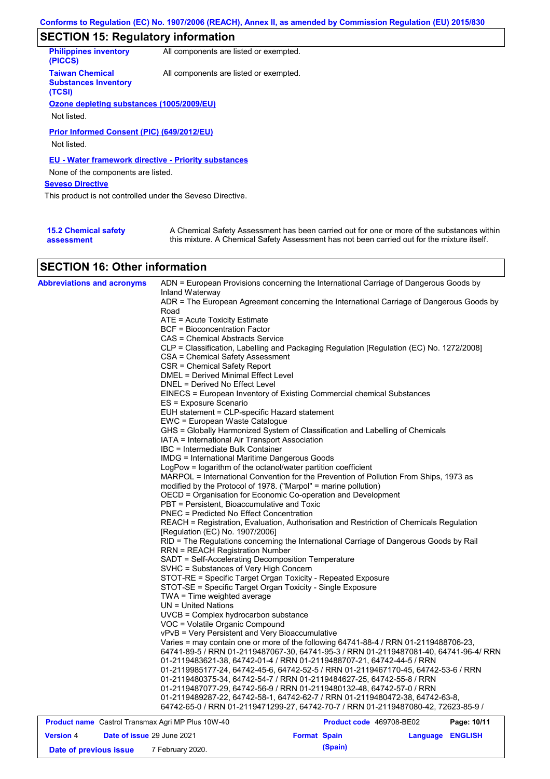# **SECTION 15: Regulatory information**

| <b>Philippines inventory</b><br>(PICCS)                         | All components are listed or exempted. |
|-----------------------------------------------------------------|----------------------------------------|
| <b>Taiwan Chemical</b><br><b>Substances Inventory</b><br>(TCSI) | All components are listed or exempted. |
| Ozone depleting substances (1005/2009/EU)                       |                                        |
|                                                                 |                                        |
| Not listed.                                                     |                                        |
| Prior Informed Consent (PIC) (649/2012/EU)<br>Not listed.       |                                        |
| <b>EU - Water framework directive - Priority substances</b>     |                                        |
| None of the components are listed.                              |                                        |
| <b>Seveso Directive</b>                                         |                                        |
| This product is not controlled under the Seveso Directive.      |                                        |
|                                                                 |                                        |
|                                                                 |                                        |

| <b>15.2 Chemical safety</b> | A Chemical Safety Assessment has been carried out for one or more of the substances within  |
|-----------------------------|---------------------------------------------------------------------------------------------|
| assessment                  | this mixture. A Chemical Safety Assessment has not been carried out for the mixture itself. |

# **SECTION 16: Other information**

| <b>Abbreviations and acronyms</b>                        | Inland Waterway                                               | ADN = European Provisions concerning the International Carriage of Dangerous Goods by    |             |
|----------------------------------------------------------|---------------------------------------------------------------|------------------------------------------------------------------------------------------|-------------|
|                                                          |                                                               | ADR = The European Agreement concerning the International Carriage of Dangerous Goods by |             |
|                                                          | Road                                                          |                                                                                          |             |
|                                                          | ATE = Acute Toxicity Estimate                                 |                                                                                          |             |
|                                                          | BCF = Bioconcentration Factor                                 |                                                                                          |             |
|                                                          | CAS = Chemical Abstracts Service                              |                                                                                          |             |
|                                                          |                                                               | CLP = Classification, Labelling and Packaging Regulation [Regulation (EC) No. 1272/2008] |             |
|                                                          | CSA = Chemical Safety Assessment                              |                                                                                          |             |
|                                                          | CSR = Chemical Safety Report                                  |                                                                                          |             |
|                                                          | DMEL = Derived Minimal Effect Level                           |                                                                                          |             |
|                                                          | DNEL = Derived No Effect Level                                |                                                                                          |             |
|                                                          |                                                               | EINECS = European Inventory of Existing Commercial chemical Substances                   |             |
|                                                          | ES = Exposure Scenario                                        |                                                                                          |             |
|                                                          | EUH statement = CLP-specific Hazard statement                 |                                                                                          |             |
|                                                          | EWC = European Waste Catalogue                                |                                                                                          |             |
|                                                          |                                                               | GHS = Globally Harmonized System of Classification and Labelling of Chemicals            |             |
|                                                          | IATA = International Air Transport Association                |                                                                                          |             |
|                                                          | IBC = Intermediate Bulk Container                             |                                                                                          |             |
|                                                          | <b>IMDG = International Maritime Dangerous Goods</b>          |                                                                                          |             |
|                                                          | LogPow = logarithm of the octanol/water partition coefficient |                                                                                          |             |
|                                                          |                                                               | MARPOL = International Convention for the Prevention of Pollution From Ships, 1973 as    |             |
|                                                          |                                                               | modified by the Protocol of 1978. ("Marpol" = marine pollution)                          |             |
|                                                          |                                                               | OECD = Organisation for Economic Co-operation and Development                            |             |
|                                                          | PBT = Persistent, Bioaccumulative and Toxic                   |                                                                                          |             |
|                                                          | <b>PNEC = Predicted No Effect Concentration</b>               |                                                                                          |             |
|                                                          |                                                               | REACH = Registration, Evaluation, Authorisation and Restriction of Chemicals Regulation  |             |
|                                                          | [Regulation (EC) No. 1907/2006]                               |                                                                                          |             |
|                                                          |                                                               | RID = The Regulations concerning the International Carriage of Dangerous Goods by Rail   |             |
|                                                          | <b>RRN = REACH Registration Number</b>                        |                                                                                          |             |
|                                                          | SADT = Self-Accelerating Decomposition Temperature            |                                                                                          |             |
|                                                          | SVHC = Substances of Very High Concern                        |                                                                                          |             |
|                                                          |                                                               | STOT-RE = Specific Target Organ Toxicity - Repeated Exposure                             |             |
|                                                          |                                                               | STOT-SE = Specific Target Organ Toxicity - Single Exposure                               |             |
|                                                          | TWA = Time weighted average                                   |                                                                                          |             |
|                                                          | $UN = United Nations$                                         |                                                                                          |             |
|                                                          | UVCB = Complex hydrocarbon substance                          |                                                                                          |             |
|                                                          | VOC = Volatile Organic Compound                               |                                                                                          |             |
|                                                          | vPvB = Very Persistent and Very Bioaccumulative               |                                                                                          |             |
|                                                          |                                                               | Varies = may contain one or more of the following 64741-88-4 / RRN 01-2119488706-23,     |             |
|                                                          |                                                               | 64741-89-5 / RRN 01-2119487067-30, 64741-95-3 / RRN 01-2119487081-40, 64741-96-4/ RRN    |             |
|                                                          |                                                               | 01-2119483621-38, 64742-01-4 / RRN 01-2119488707-21, 64742-44-5 / RRN                    |             |
|                                                          |                                                               | 01-2119985177-24, 64742-45-6, 64742-52-5 / RRN 01-2119467170-45, 64742-53-6 / RRN        |             |
|                                                          |                                                               | 01-2119480375-34, 64742-54-7 / RRN 01-2119484627-25, 64742-55-8 / RRN                    |             |
|                                                          |                                                               | 01-2119487077-29, 64742-56-9 / RRN 01-2119480132-48, 64742-57-0 / RRN                    |             |
|                                                          |                                                               | 01-2119489287-22, 64742-58-1, 64742-62-7 / RRN 01-2119480472-38, 64742-63-8,             |             |
|                                                          |                                                               | 64742-65-0 / RRN 01-2119471299-27, 64742-70-7 / RRN 01-2119487080-42, 72623-85-9 /       |             |
|                                                          |                                                               |                                                                                          |             |
| <b>Product name</b> Castrol Transmax Agri MP Plus 10W-40 |                                                               | <b>Product code</b> 469708-BE02                                                          | Page: 10/11 |

| <b>Product name</b> Castrol Transmax Agri MP Plus 10W-40 |  |                                   | Product code 469708-BE02 |         | Page: 10/11      |  |
|----------------------------------------------------------|--|-----------------------------------|--------------------------|---------|------------------|--|
| <b>Version 4</b>                                         |  | <b>Date of issue 29 June 2021</b> | <b>Format Spain</b>      |         | Language ENGLISH |  |
| Date of previous issue                                   |  | <sup>7</sup> February 2020.       |                          | (Spain) |                  |  |